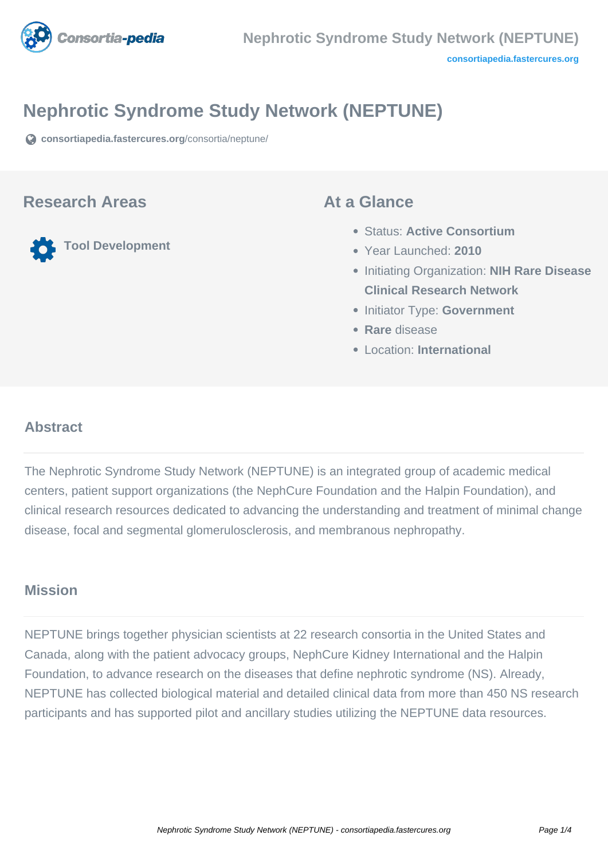

# **Nephrotic Syndrome Study Network (NEPTUNE)**

**[consortiapedia.fastercures.org](https://consortiapedia.fastercures.org/consortia/neptune/)**[/consortia/neptune/](https://consortiapedia.fastercures.org/consortia/neptune/)

#### **Research Areas**

**Tool Development**

#### **At a Glance**

- Status: **Active Consortium**
- Year Launched: **2010**
- Initiating Organization: **NIH Rare Disease Clinical Research Network**
- **Initiator Type: Government**
- **Rare** disease
- Location: **International**

### **Abstract**

The Nephrotic Syndrome Study Network (NEPTUNE) is an integrated group of academic medical centers, patient support organizations (the NephCure Foundation and the Halpin Foundation), and clinical research resources dedicated to advancing the understanding and treatment of minimal change disease, focal and segmental glomerulosclerosis, and membranous nephropathy.

#### **Mission**

NEPTUNE brings together physician scientists at 22 research consortia in the United States and Canada, along with the patient advocacy groups, NephCure Kidney International and the Halpin Foundation, to advance research on the diseases that define nephrotic syndrome (NS). Already, NEPTUNE has collected biological material and detailed clinical data from more than 450 NS research participants and has supported pilot and ancillary studies utilizing the NEPTUNE data resources.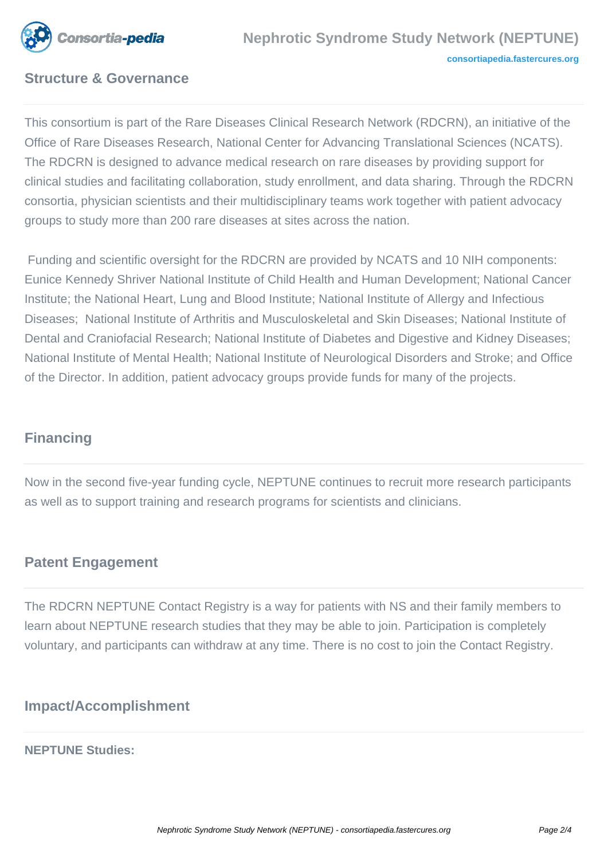

### **Structure & Governance**

This consortium is part of the Rare Diseases Clinical Research Network (RDCRN), an initiative of the Office of Rare Diseases Research, National Center for Advancing Translational Sciences (NCATS). The RDCRN is designed to advance medical research on rare diseases by providing support for clinical studies and facilitating collaboration, study enrollment, and data sharing. Through the RDCRN consortia, physician scientists and their multidisciplinary teams work together with patient advocacy groups to study more than 200 rare diseases at sites across the nation.

 Funding and scientific oversight for the RDCRN are provided by NCATS and 10 NIH components: Eunice Kennedy Shriver National Institute of Child Health and Human Development; National Cancer Institute; the National Heart, Lung and Blood Institute; National Institute of Allergy and Infectious Diseases; National Institute of Arthritis and Musculoskeletal and Skin Diseases; National Institute of Dental and Craniofacial Research; National Institute of Diabetes and Digestive and Kidney Diseases; National Institute of Mental Health; National Institute of Neurological Disorders and Stroke; and Office of the Director. In addition, patient advocacy groups provide funds for many of the projects.

## **Financing**

Now in the second five-year funding cycle, NEPTUNE continues to recruit more research participants as well as to support training and research programs for scientists and clinicians.

### **Patent Engagement**

The RDCRN NEPTUNE Contact Registry is a way for patients with NS and their family members to learn about NEPTUNE research studies that they may be able to join. Participation is completely voluntary, and participants can withdraw at any time. There is no cost to join the Contact Registry.

### **Impact/Accomplishment**

#### **NEPTUNE Studies:**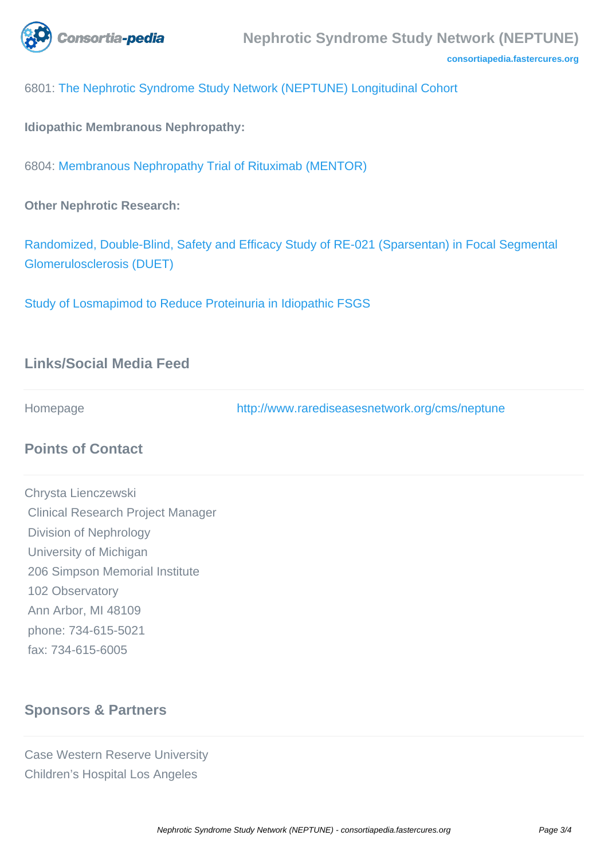

**[consortiapedia.fastercures.org](http://consortiapedia.fastercures.org/)**

6801: [The Nephrotic Syndrome Study Network \(NEPTUNE\) Longitudinal Cohort](http://www.rarediseasesnetwork.org/cms/neptune/Get-Involved/Studies)

**Idiopathic Membranous Nephropathy:**

6804: [Membranous Nephropathy Trial of Rituximab \(MENTOR\)](http://www.rarediseasesnetwork.org/cms/neptune/Get-Involved/Studies)

**Other Nephrotic Research:**

[Randomized, Double-Blind, Safety and Efficacy Study of RE-021 \(Sparsentan\) in Focal Segmental](http://www.clinicaltrials.gov/ct2/show/NCT01613118) [Glomerulosclerosis \(DUET\)](http://www.clinicaltrials.gov/ct2/show/NCT01613118)

[Study of Losmapimod to Reduce Proteinuria in Idiopathic FSGS](https://www.clinicaltrials.gov/ct2/show/NCT02000440?term=NCT02000440&rank=1)

#### **Links/Social Media Feed**

Homepage <http://www.rarediseasesnetwork.org/cms/neptune>

### **Points of Contact**

Chrysta Lienczewski Clinical Research Project Manager Division of Nephrology University of Michigan 206 Simpson Memorial Institute 102 Observatory Ann Arbor, MI 48109 phone: 734-615-5021 fax: 734-615-6005

#### **Sponsors & Partners**

Case Western Reserve University Children's Hospital Los Angeles